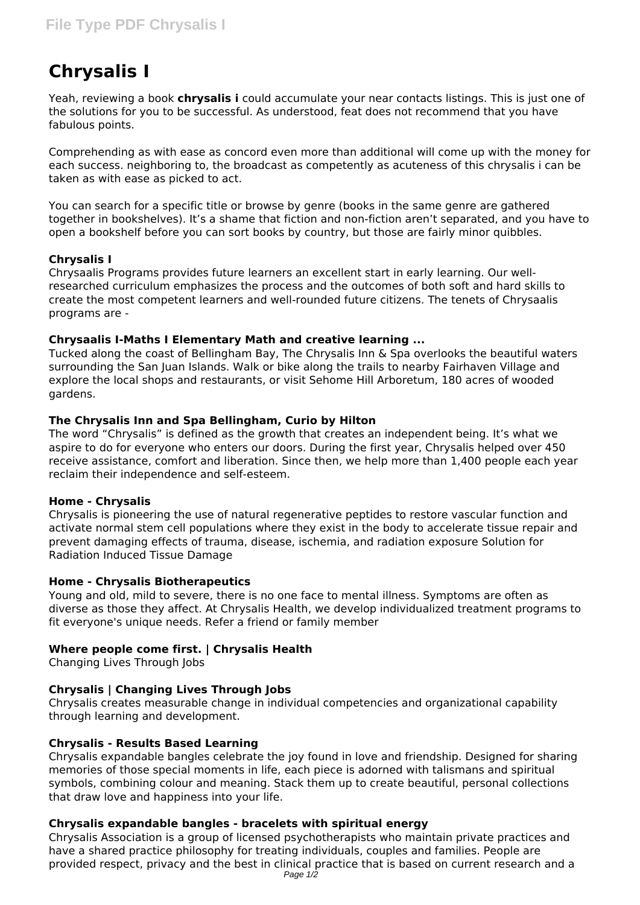# **Chrysalis I**

Yeah, reviewing a book **chrysalis i** could accumulate your near contacts listings. This is just one of the solutions for you to be successful. As understood, feat does not recommend that you have fabulous points.

Comprehending as with ease as concord even more than additional will come up with the money for each success. neighboring to, the broadcast as competently as acuteness of this chrysalis i can be taken as with ease as picked to act.

You can search for a specific title or browse by genre (books in the same genre are gathered together in bookshelves). It's a shame that fiction and non-fiction aren't separated, and you have to open a bookshelf before you can sort books by country, but those are fairly minor quibbles.

# **Chrysalis I**

Chrysaalis Programs provides future learners an excellent start in early learning. Our wellresearched curriculum emphasizes the process and the outcomes of both soft and hard skills to create the most competent learners and well-rounded future citizens. The tenets of Chrysaalis programs are -

# **Chrysaalis I-Maths I Elementary Math and creative learning ...**

Tucked along the coast of Bellingham Bay, The Chrysalis Inn & Spa overlooks the beautiful waters surrounding the San Juan Islands. Walk or bike along the trails to nearby Fairhaven Village and explore the local shops and restaurants, or visit Sehome Hill Arboretum, 180 acres of wooded gardens.

## **The Chrysalis Inn and Spa Bellingham, Curio by Hilton**

The word "Chrysalis" is defined as the growth that creates an independent being. It's what we aspire to do for everyone who enters our doors. During the first year, Chrysalis helped over 450 receive assistance, comfort and liberation. Since then, we help more than 1,400 people each year reclaim their independence and self-esteem.

#### **Home - Chrysalis**

Chrysalis is pioneering the use of natural regenerative peptides to restore vascular function and activate normal stem cell populations where they exist in the body to accelerate tissue repair and prevent damaging effects of trauma, disease, ischemia, and radiation exposure Solution for Radiation Induced Tissue Damage

# **Home - Chrysalis Biotherapeutics**

Young and old, mild to severe, there is no one face to mental illness. Symptoms are often as diverse as those they affect. At Chrysalis Health, we develop individualized treatment programs to fit everyone's unique needs. Refer a friend or family member

# **Where people come first. | Chrysalis Health**

Changing Lives Through Jobs

# **Chrysalis | Changing Lives Through Jobs**

Chrysalis creates measurable change in individual competencies and organizational capability through learning and development.

# **Chrysalis - Results Based Learning**

Chrysalis expandable bangles celebrate the joy found in love and friendship. Designed for sharing memories of those special moments in life, each piece is adorned with talismans and spiritual symbols, combining colour and meaning. Stack them up to create beautiful, personal collections that draw love and happiness into your life.

# **Chrysalis expandable bangles - bracelets with spiritual energy**

Chrysalis Association is a group of licensed psychotherapists who maintain private practices and have a shared practice philosophy for treating individuals, couples and families. People are provided respect, privacy and the best in clinical practice that is based on current research and a Page  $1/2$